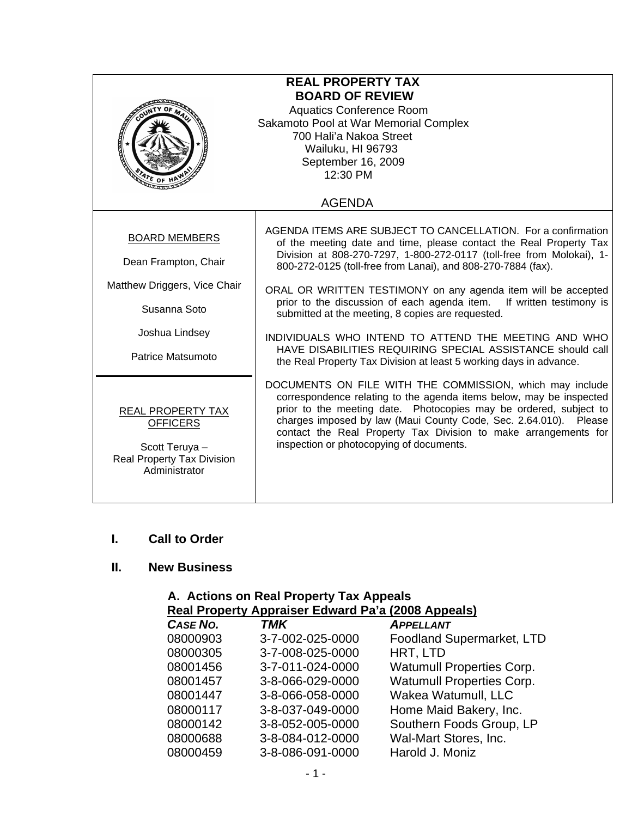| <b>REAL PROPERTY TAX</b><br><b>BOARD OF REVIEW</b><br><b>Aquatics Conference Room</b><br>Sakamoto Pool at War Memorial Complex<br>700 Hali'a Nakoa Street<br>Wailuku, HI 96793<br>September 16, 2009<br>12:30 PM |                                                                                                                                                                                                                                                                                                                                                                                                                                                                                                                                                                                                                                                                          |  |
|------------------------------------------------------------------------------------------------------------------------------------------------------------------------------------------------------------------|--------------------------------------------------------------------------------------------------------------------------------------------------------------------------------------------------------------------------------------------------------------------------------------------------------------------------------------------------------------------------------------------------------------------------------------------------------------------------------------------------------------------------------------------------------------------------------------------------------------------------------------------------------------------------|--|
| <b>AGENDA</b>                                                                                                                                                                                                    |                                                                                                                                                                                                                                                                                                                                                                                                                                                                                                                                                                                                                                                                          |  |
| <b>BOARD MEMBERS</b><br>Dean Frampton, Chair<br>Matthew Driggers, Vice Chair<br>Susanna Soto<br>Joshua Lindsey<br>Patrice Matsumoto                                                                              | AGENDA ITEMS ARE SUBJECT TO CANCELLATION. For a confirmation<br>of the meeting date and time, please contact the Real Property Tax<br>Division at 808-270-7297, 1-800-272-0117 (toll-free from Molokai), 1-<br>800-272-0125 (toll-free from Lanai), and 808-270-7884 (fax).<br>ORAL OR WRITTEN TESTIMONY on any agenda item will be accepted<br>prior to the discussion of each agenda item.<br>If written testimony is<br>submitted at the meeting, 8 copies are requested.<br>INDIVIDUALS WHO INTEND TO ATTEND THE MEETING AND WHO<br>HAVE DISABILITIES REQUIRING SPECIAL ASSISTANCE should call<br>the Real Property Tax Division at least 5 working days in advance. |  |
| <b>REAL PROPERTY TAX</b><br><b>OFFICERS</b><br>Scott Teruya -<br><b>Real Property Tax Division</b><br>Administrator                                                                                              | DOCUMENTS ON FILE WITH THE COMMISSION, which may include<br>correspondence relating to the agenda items below, may be inspected<br>prior to the meeting date. Photocopies may be ordered, subject to<br>charges imposed by law (Maui County Code, Sec. 2.64.010). Please<br>contact the Real Property Tax Division to make arrangements for<br>inspection or photocopying of documents.                                                                                                                                                                                                                                                                                  |  |

### **I. Call to Order**

# **II. New Business**

|                                                    | A. Actions on Real Property Tax Appeals |                                  |  |
|----------------------------------------------------|-----------------------------------------|----------------------------------|--|
| Real Property Appraiser Edward Pa'a (2008 Appeals) |                                         |                                  |  |
| CASE NO.                                           | <b>TMK</b>                              | <b>APPELLANT</b>                 |  |
| 08000903                                           | 3-7-002-025-0000                        | <b>Foodland Supermarket, LTD</b> |  |
| 08000305                                           | 3-7-008-025-0000                        | HRT, LTD                         |  |
| 08001456                                           | 3-7-011-024-0000                        | <b>Watumull Properties Corp.</b> |  |
| 08001457                                           | 3-8-066-029-0000                        | <b>Watumull Properties Corp.</b> |  |
| 08001447                                           | 3-8-066-058-0000                        | Wakea Watumull, LLC              |  |
| 08000117                                           | 3-8-037-049-0000                        | Home Maid Bakery, Inc.           |  |
| 08000142                                           | 3-8-052-005-0000                        | Southern Foods Group, LP         |  |
| 08000688                                           | 3-8-084-012-0000                        | Wal-Mart Stores, Inc.            |  |
| 08000459                                           | 3-8-086-091-0000                        | Harold J. Moniz                  |  |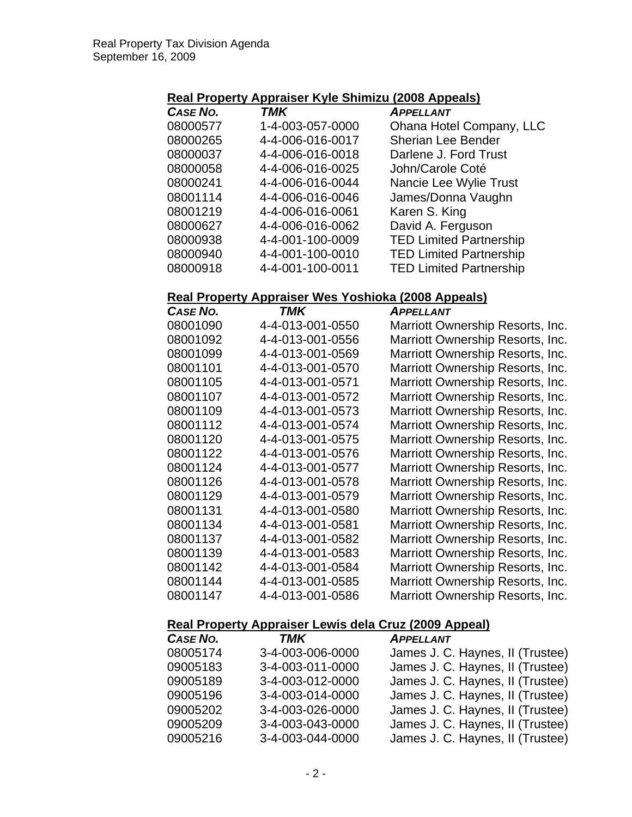# **Real Property Appraiser Kyle Shimizu (2008 Appeals)**

| CASE NO. | <b>TMK</b>       | <b>APPELLANT</b>               |
|----------|------------------|--------------------------------|
| 08000577 | 1-4-003-057-0000 | Ohana Hotel Company, LLC       |
| 08000265 | 4-4-006-016-0017 | <b>Sherian Lee Bender</b>      |
| 08000037 | 4-4-006-016-0018 | Darlene J. Ford Trust          |
| 08000058 | 4-4-006-016-0025 | John/Carole Coté               |
| 08000241 | 4-4-006-016-0044 | Nancie Lee Wylie Trust         |
| 08001114 | 4-4-006-016-0046 | James/Donna Vaughn             |
| 08001219 | 4-4-006-016-0061 | Karen S. King                  |
| 08000627 | 4-4-006-016-0062 | David A. Ferguson              |
| 08000938 | 4-4-001-100-0009 | <b>TED Limited Partnership</b> |
| 08000940 | 4-4-001-100-0010 | <b>TED Limited Partnership</b> |
| 08000918 | 4-4-001-100-0011 | <b>TED Limited Partnership</b> |

#### **Real Property Appraiser Wes Yoshioka (2008 Appeals)**

| CASE NO. | TMK              | <b>APPELLANT</b>                 |
|----------|------------------|----------------------------------|
| 08001090 | 4-4-013-001-0550 | Marriott Ownership Resorts, Inc. |
| 08001092 | 4-4-013-001-0556 | Marriott Ownership Resorts, Inc. |
| 08001099 | 4-4-013-001-0569 | Marriott Ownership Resorts, Inc. |
| 08001101 | 4-4-013-001-0570 | Marriott Ownership Resorts, Inc. |
| 08001105 | 4-4-013-001-0571 | Marriott Ownership Resorts, Inc. |
| 08001107 | 4-4-013-001-0572 | Marriott Ownership Resorts, Inc. |
| 08001109 | 4-4-013-001-0573 | Marriott Ownership Resorts, Inc. |
| 08001112 | 4-4-013-001-0574 | Marriott Ownership Resorts, Inc. |
| 08001120 | 4-4-013-001-0575 | Marriott Ownership Resorts, Inc. |
| 08001122 | 4-4-013-001-0576 | Marriott Ownership Resorts, Inc. |
| 08001124 | 4-4-013-001-0577 | Marriott Ownership Resorts, Inc. |
| 08001126 | 4-4-013-001-0578 | Marriott Ownership Resorts, Inc. |
| 08001129 | 4-4-013-001-0579 | Marriott Ownership Resorts, Inc. |
| 08001131 | 4-4-013-001-0580 | Marriott Ownership Resorts, Inc. |
| 08001134 | 4-4-013-001-0581 | Marriott Ownership Resorts, Inc. |
| 08001137 | 4-4-013-001-0582 | Marriott Ownership Resorts, Inc. |
| 08001139 | 4-4-013-001-0583 | Marriott Ownership Resorts, Inc. |
| 08001142 | 4-4-013-001-0584 | Marriott Ownership Resorts, Inc. |
| 08001144 | 4-4-013-001-0585 | Marriott Ownership Resorts, Inc. |
| 08001147 | 4-4-013-001-0586 | Marriott Ownership Resorts, Inc. |

# **Real Property Appraiser Lewis dela Cruz (2009 Appeal)**

| CASE NO. | TMK              | <b>APPELLANT</b>                 |
|----------|------------------|----------------------------------|
| 08005174 | 3-4-003-006-0000 | James J. C. Haynes, II (Trustee) |
| 09005183 | 3-4-003-011-0000 | James J. C. Haynes, II (Trustee) |
| 09005189 | 3-4-003-012-0000 | James J. C. Haynes, II (Trustee) |
| 09005196 | 3-4-003-014-0000 | James J. C. Haynes, II (Trustee) |
| 09005202 | 3-4-003-026-0000 | James J. C. Haynes, II (Trustee) |
| 09005209 | 3-4-003-043-0000 | James J. C. Haynes, II (Trustee) |
| 09005216 | 3-4-003-044-0000 | James J. C. Haynes, II (Trustee) |